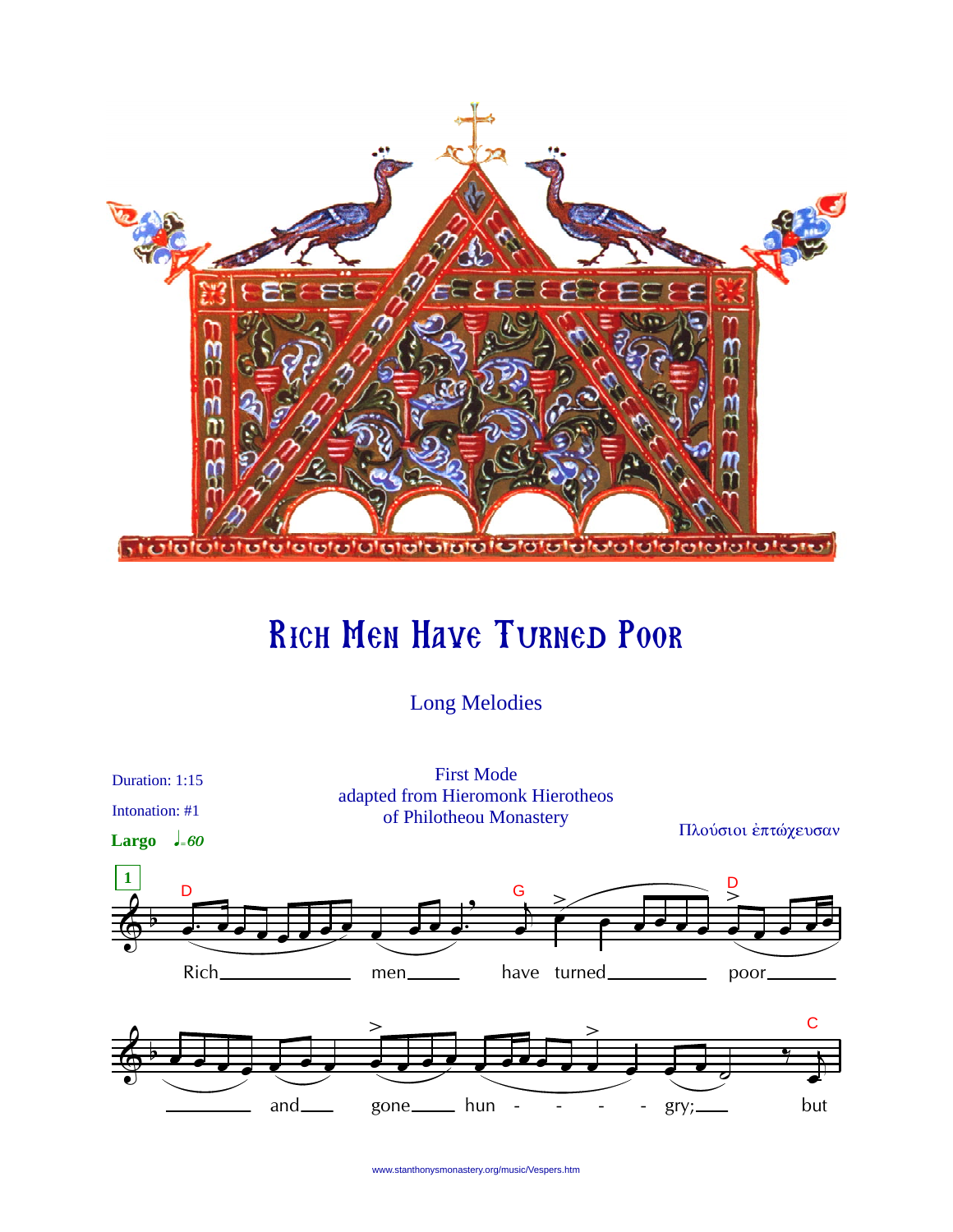

# Rich Men Have Turned Poor

Long Melodies



www.stanthonysmonastery.org/music/Vespers.htm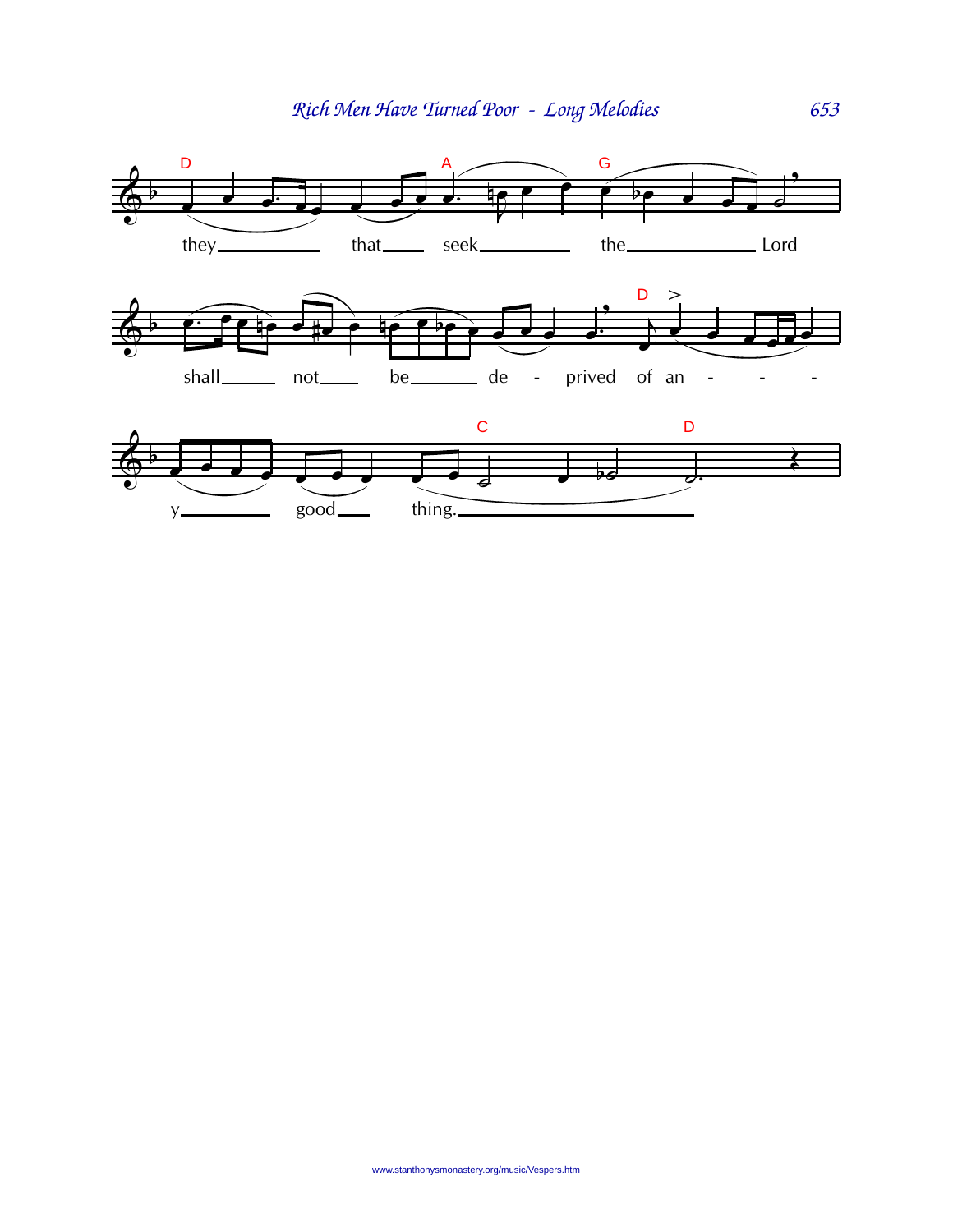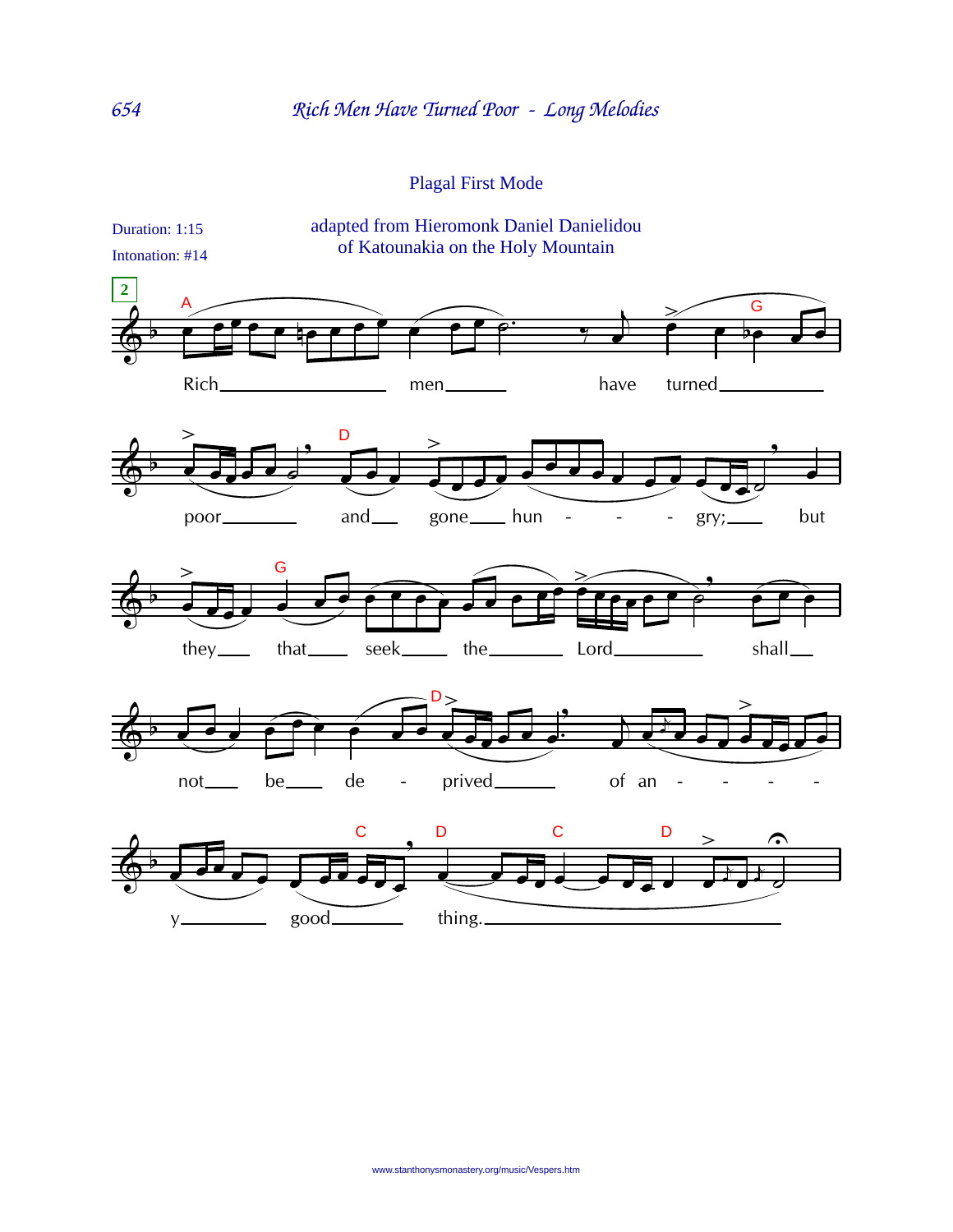## Plagal First Mode

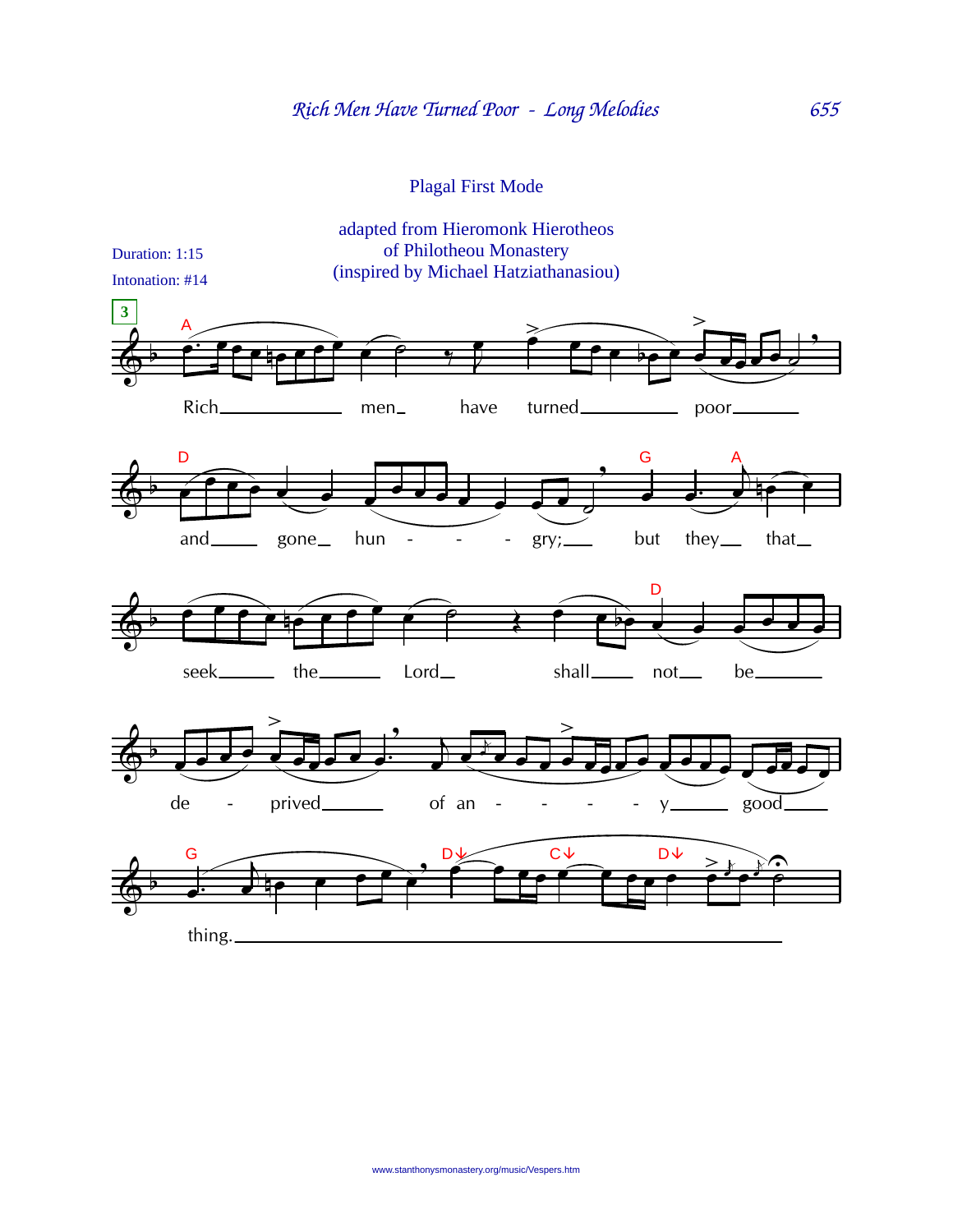## Plagal First Mode

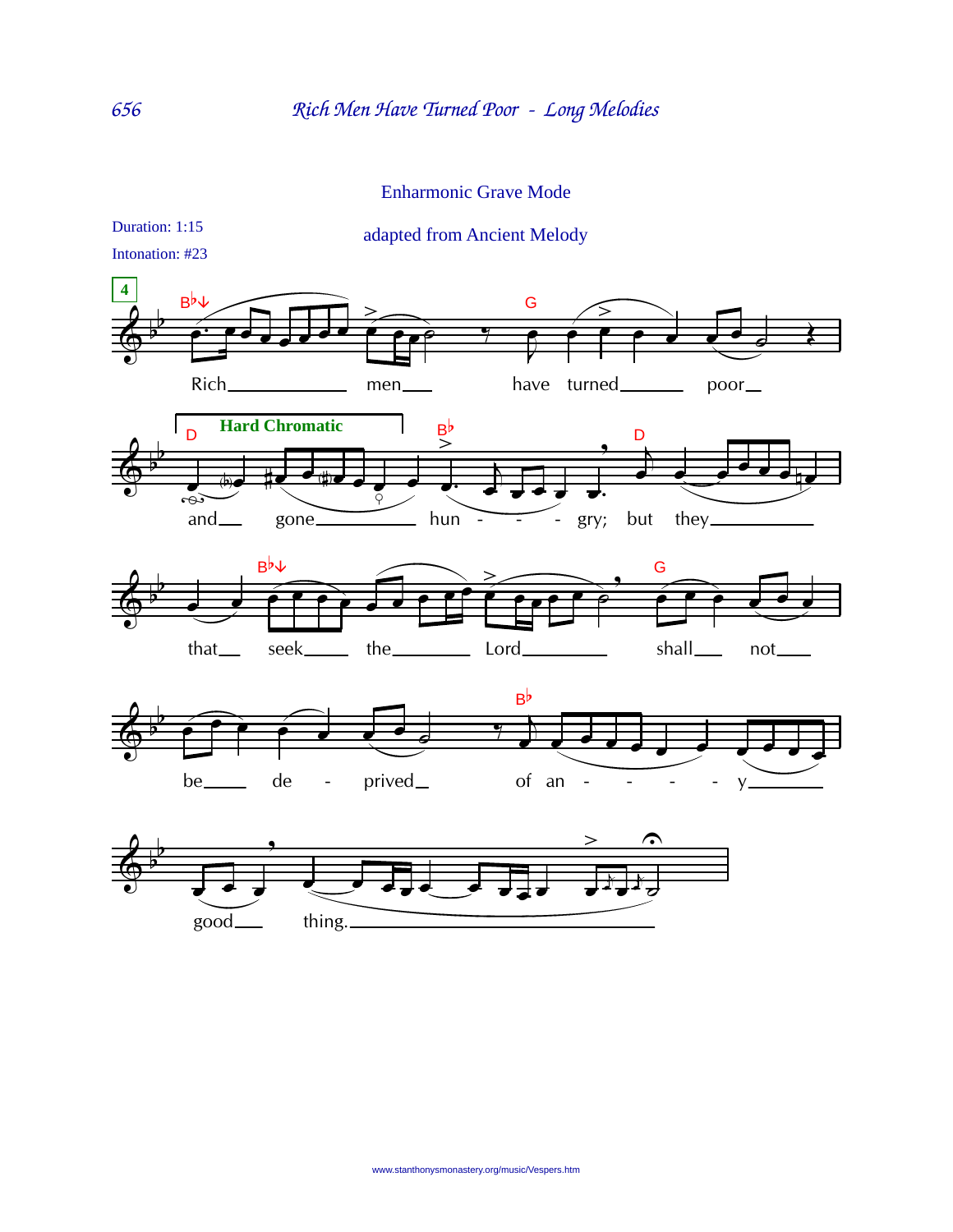#### Enharmonic Grave Mode